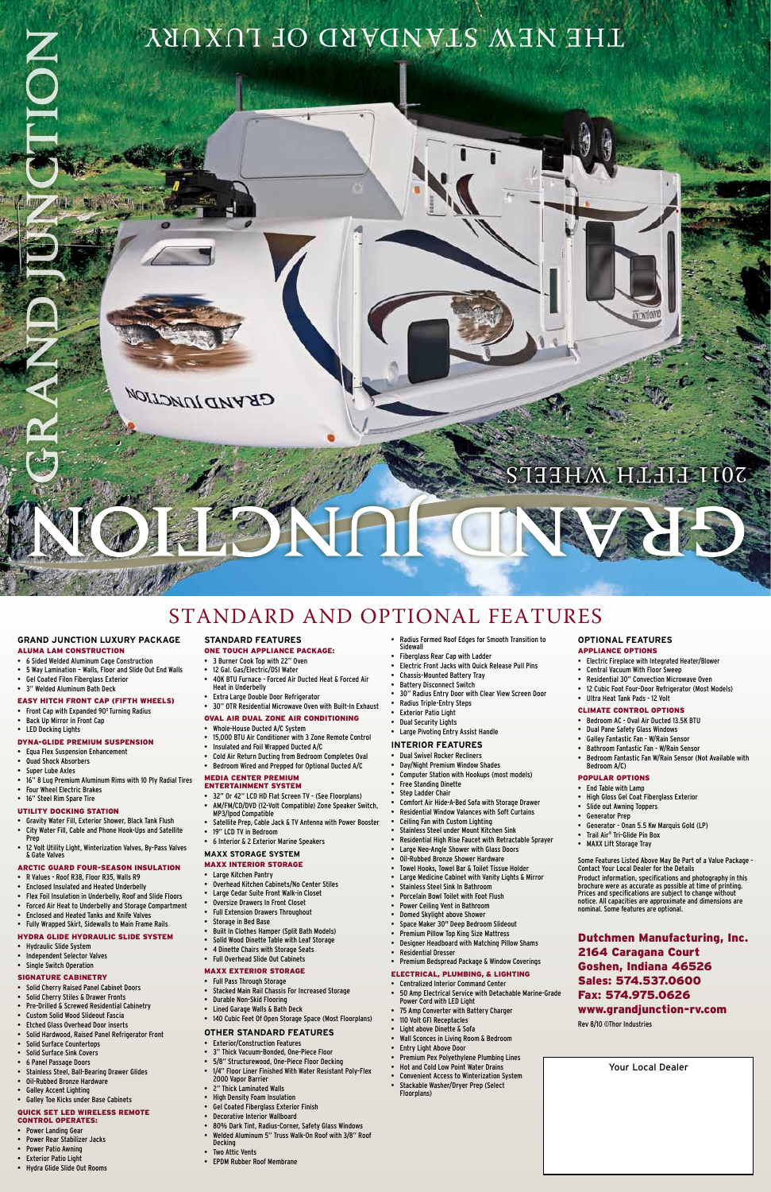# LHE VIEM STANDARD OF LUXURY

# SOIT EIELH MHEE

#### **Grand Junction Luxury Package**

#### ALUMA LAM Construction

- 6 Sided Welded Aluminum Cage Construction
- 5 Way Lamination Walls, Floor and Slide Out End Walls
- • Gel Coated Filon Fiberglass Exterior
- • 3" Welded Aluminum Bath Deck

- Front Cap with Expanded 90° Turning Radius
- Back Up Mirror in Front Cap
- • LED Docking Lights

#### EASY HITCH FRONT CAP (Fifth Wheels)

#### DYNA-GLIDE Premium Suspension

- • Equa Flex Suspension Enhancement
- **Quad Shock Absorbers**
- Super Lube Axles
- 16" 8 Lug Premium Aluminum Rims with 10 Ply Radial Tires
- Four Wheel Electric Brakes • 16" Steel Rim Spare Tire
- UTILITY DOCKING STATION

- • Gravity Water Fill, Exterior Shower, Black Tank Flush City Water Fill, Cable and Phone Hook-Ups and Satellite
- Prep
- 12 Volt Utility Light, Winterization Valves, By-Pass Valves & Gate Valves

### ARCTIC GUARD Four-Season Insulation

Large Kitchen Pant

- • R Values Roof R38, Floor R35, Walls R9
- • Enclosed Insulated and Heated Underbelly
- • Flex Foil Insulation in Underbelly, Roof and Slide Floors
- Forced Air Heat to Underbelly and Storage Compartment
- • Enclosed and Heated Tanks and Knife Valves
- • Fully Wrapped Skirt, Sidewalls to Main Frame Rails

#### HYDRA GLIDE Hydraulic Slide System

- • Hydraulic Slide System
- • Independent Selector Valves
- • Single Switch Operation
- 12 Gal. Gas/Electric/DSI Water
- 40K BTU Furnace Forced Air Ducted Heat & Forced Air Heat in Underbelly
- • Extra Large Double Door Refrigerator
- • 30" OTR Residential Microwave Oven with Built-In Exhaust
- OVAL AIR Dual Zone Air Conditioning
- • Whole-House Ducted A/C System
- • 15,000 BTU Air Conditioner with 3 Zone Remote Control
- • Insulated and Foil Wrapped Ducted A/C
- • Cold Air Return Ducting from Bedroom Completes Oval
- • Bedroom Wired and Prepped for Optional Ducted A/C

#### SIGNATURE Cabinetry

- • Solid Cherry Raised Panel Cabinet Doors
- Solid Cherry Stiles & Drawer Fronts
- Pre-Drilled & Screwed Residential Cabinetry
- • Custom Solid Wood Slideout Fascia
- • Etched Glass Overhead Door inserts
- Solid Hardwood, Raised Panel Refrigerator Front
- Solid Surface Countertops
- Solid Surface Sink Covers
- 6 Panel Passage Doors
- Stainless Steel, Ball-Bearing Drawer Glides
- Oil-Rubbed Bronze Hardware
- • Galley Accent Lighting
- • Galley Toe Kicks under Base Cabinets

#### QUICK SET LED Wireless Remote Control Operates:

- • Power Landing Gear
- Power Rear Stabilizer Jacks
- Power Patio Awning
- • Exterior Patio Light
- • Hydra Glide Slide Out Rooms

**Standard Features**

#### ONE TOUCH Appliance Package:

• 3 Burner Cook Top with 22" Oven

**GRAND JUNCTION** 

- • Dual Swivel Rocker Recliners
- Day/Night Premium Window Shades
- Computer Station with Hookups (most models)
- **Free Standing Dinette**
- **Step Ladder Chair**
- Comfort Air Hide-A-Bed Sofa with Storage Drawer
- Residential Window Valances with Soft Curtains
- Ceiling Fan with Custom Lighting
- Stainless Steel under Mount Kitchen Sink
- Residential High Rise Faucet with Retractable Sprayer Large Neo-Angle Shower with Glass Doors
- **Oil-Rubbed Bronze Shower Hardware**
- 
- Towel Hooks, Towel Bar & Toilet Tissue Holder

### MEDIA CENTER Premium

- **Large Medicine Cabinet with Vanity Lights & Mirror**
- Stainless Steel Sink In Bathroom
- Porcelain Bowl Toilet with Foot Flush
- Power Ceiling Vent in Bathroom
- Domed Skylight above Shower
- Space Maker 30" Deep Bedroom Slideout
- Premium Pillow Top King Size Mattress
- **Designer Headboard with Matching Pillow Shams**
- • Residential Dresser
- • Premium Bedspread Package & Window Coverings
- Entertainment System • 32" Or 42" LCD HD Flat Screen TV - (See Floorplans)
- • AM/FM/CD/DVD (12-Volt Compatible) Zone Speaker Switch,
- MP3/Ipod Compatible • Satellite Prep, Cable Jack & TV Antenna with Power Booster
- • 19" LCD TV in Bedroom
- • 6 Interior & 2 Exterior Marine Speakers
- **MAXX STORAGE System**
- MAXX Interior Storage

- Radius Formed Roof Edges for Smooth Transition to
- Sidewall
- Fiberglass Rear Cap with Ladder Electric Front Jacks with Quick Release Pull Pins
- Chassis-Mounted Battery Tray
- **Battery Disconnect Switch**
- 30" Radius Entry Door with Clear View Screen Door
- 
- Radius Triple-Entry Steps
- **Exterior Patio Light**
- **Dual Security Lights**
- Large Pivoting Entry Assist Handle

- - • Overhead Kitchen Cabinets/No Center Stiles
	- • Large Cedar Suite Front Walk-in Closet
	- • Oversize Drawers In Front Closet
	- • Full Extension Drawers Throughout
	- • Storage in Bed Base
	- Built In Clothes Hamper (Split Bath Models)
	- • Solid Wood Dinette Table with Leaf Storage
	- • 4 Dinette Chairs with Storage Seats
	- • Full Overhead Slide Out Cabinets
- • End Table with Lamp
- High Gloss Gel Coat Fiberglass Exterior
- Slide out Awning Toppers
- • Generator Prep
- Generator Onan 5.5 Kw Marquis Gold (LP)
- Trail Air® Tri-Glide Pin Box **MAXX Lift Storage Tray**
- 

#### MAXX Exterior Storage

- • Full Pass Through Storage
- • Stacked Main Rail Chassis For Increased Storage
- • Durable Non-Skid Flooring
- • Lined Garage Walls & Bath Deck
- • 140 Cubic Feet Of Open Storage Space (Most Floorplans)

#### **Other Standard Features**

- • Exterior/Construction Features
- • 3" Thick Vacuum-Bonded, One-Piece Floor
- • 5/8" Structurewood, One-Piece Floor Decking
- • 1/4" Floor Liner Finished With Water Resistant Poly-Flex 2000 Vapor Barrier
- • 2" Thick Laminated Walls
- • High Density Foam Insulation
- • Gel Coated Fiberglass Exterior Finish
- • Decorative Interior Wallboard
- • 80% Dark Tint, Radius-Corner, Safety Glass Windows
- • Welded Aluminum 5" Truss Walk-On Roof with 3/8" Roof Decking
- • Two Attic Vents
- • EPDM Rubber Roof Membrane

### **Interior Features**

#### Electrical, Plumbing, & Lighting

- • Centralized Interior Command Center
- 50 Amp Electrical Service with Detachable Marine-Grade Power Cord with LED Light
- 75 Amp Converter with Battery Charger
- 110 Volt GFI Receptacles
- Light above Dinette & Sofa
- **Wall Sconces in Living Room & Bedroom**
- **Entry Light Above Door**
- Premium Pex Polyethylene Plumbing Lines
- Hot and Cold Low Point Water Drains
- Convenient Access to Winterization System
- Stackable Washer/Dryer Prep (Select Floorplans)
- **Optional Features** Appliance Options
	- Electric Fireplace with Integrated Heater/Blower
	- Central Vacuum With Floor Sweep
	- Residential 30" Convection Microwave Oven
	-
	- 12 Cubic Foot Four-Door Refrigerator (Most Models)
	- Ultra Heat Tank Pads 12 Volt
	- Climate Control Options
	- • Bedroom AC Oval Air Ducted 13.5K BTU
	- • Dual Pane Safety Glass Windows
	- Galley Fantastic Fan W/Rain Sensor
	- Bathroom Fantastic Fan W/Rain Sensor
	- Bedroom Fantastic Fan W/Rain Sensor (Not Available with Bedroom A/C)

#### POPULAR Options

Some Features Listed Above May Be Part of a Value Package - Contact Your Local Dealer for the Details Product information, specifications and photography in this brochure were as accurate as possible at time of printing. Prices and specifications are subject to change without notice. All capacities are approximate and dimensions are nominal. Some features are optional.

Dutchmen Manufacturing, Inc. 2164 Caragana Court Goshen, Indiana 46526 Sales: 574.537.0600 Fax: 574.975.0626 www.grandjunction-rv.com

Rev 8/10 ©Thor Industries

Standard and Optional Features

Your Local Dealer